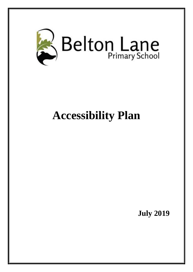

# **Accessibility Plan**

**July 2019**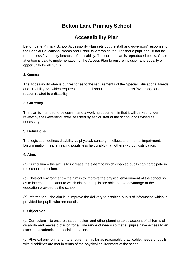# **Belton Lane Primary School**

# **Accessibility Plan**

Belton Lane Primary School Accessibility Plan sets out the staff and governors' response to the Special Educational Needs and Disability Act which requires that a pupil should not be treated less favourably because of a disability. The current plan is reproduced below. Close attention is paid to implementation of the Access Plan to ensure inclusion and equality of opportunity for all pupils.

# **1. Context**

The Accessibility Plan is our response to the requirements of the Special Educational Needs and Disability Act which requires that a pupil should not be treated less favourably for a reason related to a disability.

# **2. Currency**

The plan is intended to be current and a working document in that it will be kept under review by the Governing Body, assisted by senior staff at the school and revised as necessary.

#### **3. Definitions**

The legislation defines disability as physical, sensory, intellectual or mental impairment. Discrimination means treating pupils less favourably than others without justification.

#### **4. Aims**

(a) Curriculum – the aim is to increase the extent to which disabled pupils can participate in the school curriculum.

(b) Physical environment – the aim is to improve the physical environment of the school so as to increase the extent to which disabled pupils are able to take advantage of the education provided by the school.

(c) Information – the aim is to improve the delivery to disabled pupils of information which is provided for pupils who are not disabled.

#### **5. Objectives**

(a) Curriculum – to ensure that curriculum and other planning takes account of all forms of disability and makes provision for a wide range of needs so that all pupils have access to an excellent academic and social education.

(b) Physical environment – to ensure that, as far as reasonably practicable, needs of pupils with disabilities are met in terms of the physical environment of the school.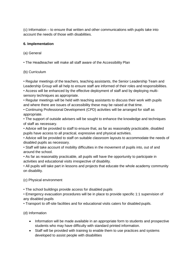(c) Information – to ensure that written and other communications with pupils take into account the needs of those with disabilities.

# **6. Implementation**

(a) General

• The Headteacher will make all staff aware of the Accessibility Plan

# (b) Curriculum

• Regular meetings of the teachers, teaching assistants, the Senior Leadership Team and Leadership Group will all help to ensure staff are informed of their roles and responsibilities. • Access will be enhanced by the effective deployment of staff and by deploying multi-

sensory techniques as appropriate.

• Regular meetings will be held with teaching assistants to discuss their work with pupils and where there are issues of accessibility these may be raised at that time.

• Continuing Professional Development (CPD) activities will be arranged for staff as appropriate.

• The support of outside advisers will be sought to enhance the knowledge and techniques of staff as necessary.

• Advice will be provided to staff to ensure that, as far as reasonably practicable, disabled pupils have access to all practical, expressive and physical activities.

• Advice will be provided to staff on suitable classroom layouts to accommodate the needs of disabled pupils as necessary.

• Staff will take account of mobility difficulties in the movement of pupils into, out of and around the school.

• As far as reasonably practicable, all pupils will have the opportunity to participate in activities and educational visits irrespective of disability.

• All pupils will take part in lessons and projects that educate the whole academy community on disability.

(c) Physical environment

• The school buildings provide access for disabled pupils

• Emergency evacuation procedures will be in place to provide specific 1:1 supervision of any disabled pupils

• Transport to off-site facilities and for educational visits caters for disabled pupils.

(d) Information

- Information will be made available in an appropriate form to students and prospective students who may have difficulty with standard printed information.
- Staff will be provided with training to enable them to use practices and systems developed to assist people with disabilities